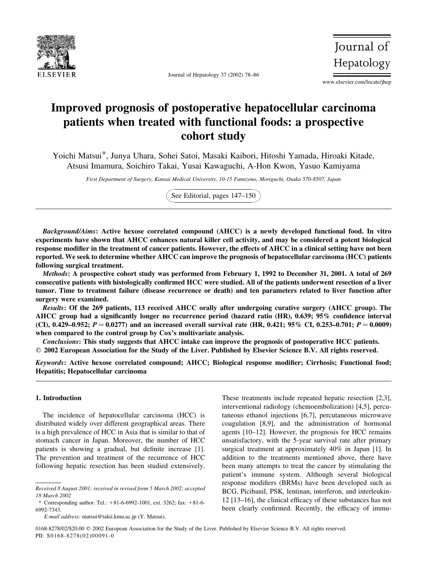

Journal of Hepatology 37 (2002) 78–86

Journal of Hepatology

www.elsevier.com/locate/jhep

# Improved prognosis of postoperative hepatocellular carcinoma patients when treated with functional foods: a prospective cohort study

Yoichi Matsui\*, Junya Uhara, Sohei Satoi, Masaki Kaibori, Hitoshi Yamada, Hiroaki Kitade, Atsusi Imamura, Soichiro Takai, Yusai Kawaguchi, A-Hon Kwon, Yasuo Kamiyama

First Department of Surgery, Kansai Medical University, 10-15 Fumizono, Moriguchi, Osaka 570-8507, Japan

See Editorial, pages 147–150

Background/Aims: Active hexose correlated compound (AHCC) is a newly developed functional food. In vitro experiments have shown that AHCC enhances natural killer cell activity, and may be considered a potent biological response modifier in the treatment of cancer patients. However, the effects of AHCC in a clinical setting have not been reported. We seek to determine whether AHCC can improve the prognosis of hepatocellular carcinoma (HCC) patients following surgical treatment.

Methods: A prospective cohort study was performed from February 1, 1992 to December 31, 2001. A total of 269 consecutive patients with histologically confirmed HCC were studied. All of the patients underwent resection of a liver tumor. Time to treatment failure (disease recurrence or death) and ten parameters related to liver function after surgery were examined.

Results: Of the 269 patients, 113 received AHCC orally after undergoing curative surgery (AHCC group). The AHCC group had a significantly longer no recurrence period (hazard ratio (HR), 0.639; 95% confidence interval (CI), 0.429–0.952;  $P = 0.0277$  and an increased overall survival rate (HR, 0.421; 95% CI, 0.253–0.701;  $P = 0.0009$ ) when compared to the control group by Cox's multivariate analysis.

Conclusions: This study suggests that AHCC intake can improve the prognosis of postoperative HCC patients.  $Q$  2002 European Association for the Study of the Liver. Published by Elsevier Science B.V. All rights reserved.

Keywords: Active hexose correlated compound; AHCC; Biological response modifier; Cirrhosis; Functional food; Hepatitis; Hepatocellular carcinoma

# 1. Introduction

The incidence of hepatocellular carcinoma (HCC) is distributed widely over different geographical areas. There is a high prevalence of HCC in Asia that is similar to that of stomach cancer in Japan. Moreover, the number of HCC patients is showing a gradual, but definite increase [1]. The prevention and treatment of the recurrence of HCC following hepatic resection has been studied extensively.

These treatments include repeated hepatic resection [2,3], interventional radiology (chemoembolization) [4,5], percutaneous ethanol injections [6,7], percutaneous microwave coagulation [8,9], and the administration of hormonal agents [10–12]. However, the prognosis for HCC remains unsatisfactory, with the 5-year survival rate after primary surgical treatment at approximately 40% in Japan [1]. In addition to the treatments mentioned above, there have been many attempts to treat the cancer by stimulating the patient's immune system. Although several biological response modifiers (BRMs) have been developed such as BCG, Picibanil, PSK, lentinan, interferon, and interleukin-12 [13–16], the clinical efficacy of these substances has not been clearly confirmed. Recently, the efficacy of immu-

Received 8 August 2001; received in revised form 5 March 2002; accepted 18 March 2002

<sup>\*</sup> Corresponding author. Tel.:  $+81-6-6992-1001$ , ext. 3262; fax:  $+81-6-$ 6992-7343.

E-mail address: matsui@takii.kmu.ac.jp (Y. Matsui).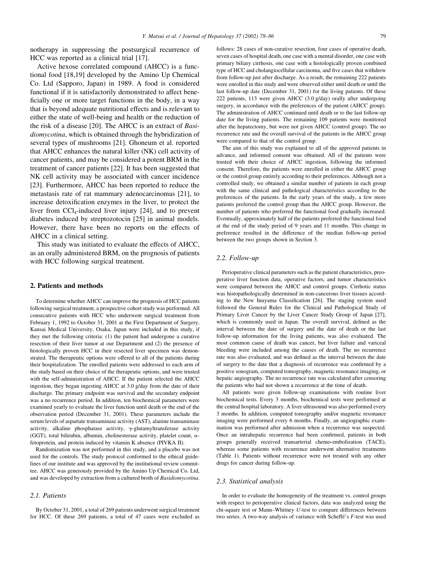notherapy in suppressing the postsurgical recurrence of HCC was reported as a clinical trial [17].

Active hexose correlated compound (AHCC) is a functional food [18,19] developed by the Amino Up Chemical Co. Ltd (Sapporo, Japan) in 1989. A food is considered functional if it is satisfactorily demonstrated to affect beneficially one or more target functions in the body, in a way that is beyond adequate nutritional effects and is relevant to either the state of well-being and health or the reduction of the risk of a disease [20]. The AHCC is an extract of Basidiomycotina, which is obtained through the hybridization of several types of mushrooms [21]. Ghoneum et al. reported that AHCC enhances the natural killer (NK) cell activity of cancer patients, and may be considered a potent BRM in the treatment of cancer patients [22]. It has been suggested that NK cell activity may be associated with cancer incidence [23]. Furthermore, AHCC has been reported to reduce the metastasis rate of rat mammary adenocarcinomas [21], to increase detoxification enzymes in the liver, to protect the liver from  $CCl_4$ -induced liver injury [24], and to prevent diabetes induced by streptozotocin [25] in animal models. However, there have been no reports on the effects of AHCC in a clinical setting.

This study was initiated to evaluate the effects of AHCC, as an orally administered BRM, on the prognosis of patients with HCC following surgical treatment.

# 2. Patients and methods

To determine whether AHCC can improve the prognosis of HCC patients following surgical treatment, a prospective cohort study was performed. All consecutive patients with HCC who underwent surgical treatment from February 1, 1992 to October 31, 2001 at the First Department of Surgery, Kansai Medical University, Osaka, Japan were included in this study, if they met the following criteria: (1) the patient had undergone a curative resection of their liver tumor at our Department and (2) the presence of histologically proven HCC in their resected liver specimen was demonstrated. The therapeutic options were offered to all of the patients during their hospitalization. The enrolled patients were addressed to each arm of the study based on their choice of the therapeutic options, and were trusted with the self-administration of AHCC. If the patient selected the AHCC ingestion, they began ingesting AHCC at 3.0 g/day from the date of their discharge. The primary endpoint was survival and the secondary endpoint was a no recurrence period. In addition, ten biochemical parameters were examined yearly to evaluate the liver function until death or the end of the observation period (December 31, 2001). These parameters include the serum levels of aspartate transaminase activity (AST), alanine transaminase activity, alkaline phosphatase activity,  $\gamma$ -glutamyltransferase activity (GGT), total bilirubin, albumin, cholinesterase activity, platelet count, afetoprotein, and protein induced by vitamin K absence (PIVKA II).

Randomization was not performed in this study, and a placebo was not used for the controls. The study protocol conformed to the ethical guidelines of our institute and was approved by the institutional review committee. AHCC was generously provided by the Amino Up Chemical Co. Ltd, and was developed by extraction from a cultured broth of Basidiomycotina.

# 2.1. Patients

By October 31, 2001, a total of 269 patients underwent surgical treatment for HCC. Of these 269 patients, a total of 47 cases were excluded as follows: 28 cases of non-curative resection, four cases of operative death, seven cases of hospital death, one case with a mental disorder, one case with primary biliary cirrhosis, one case with a histologically proven combined type of HCC and cholangiocellular carcinoma, and five cases that withdrew from follow-up just after discharge. As a result, the remaining 222 patients were enrolled in this study and were observed either until death or until the last follow-up date (December 31, 2001) for the living patients. Of these 222 patients, 113 were given AHCC (3.0 g/day) orally after undergoing surgery, in accordance with the preferences of the patient (AHCC group). The administration of AHCC continued until death or to the last follow-up date for the living patients. The remaining 109 patients were monitored after the hepatectomy, but were not given AHCC (control group). The no recurrence rate and the overall survival of the patients in the AHCC group were compared to that of the control group.

The aim of this study was explained to all of the approved patients in advance, and informed consent was obtained. All of the patients were trusted with their choice of AHCC ingestion, following the informed consent. Therefore, the patients were enrolled in either the AHCC group or the control group entirely according to their preferences. Although not a controlled study, we obtained a similar number of patients in each group with the same clinical and pathological characteristics according to the preferences of the patients. In the early years of the study, a few more patients preferred the control group than the AHCC group. However, the number of patients who preferred the functional food gradually increased. Eventually, approximately half of the patients preferred the functional food at the end of the study period of 9 years and 11 months. This change in preference resulted in the difference of the median follow-up period between the two groups shown in Section 3.

#### 2.2. Follow-up

Perioperative clinical parameters such as the patient characteristics, preoperative liver function data, operative factors, and tumor characteristics were compared between the AHCC and control groups. Cirrhotic status was histopathologically determined in non-cancerous liver tissues according to the New Inuyama Classification [26]. The staging system used followed the General Rules for the Clinical and Pathological Study of Primary Liver Cancer by the Liver Cancer Study Group of Japan [27], which is commonly used in Japan. The overall survival, defined as the interval between the date of surgery and the date of death or the last follow-up information for the living patients, was also evaluated. The most common cause of death was cancer, but liver failure and variceal bleeding were included among the causes of death. The no recurrence rate was also evaluated, and was defined as the interval between the date of surgery to the date that a diagnosis of recurrence was confirmed by a positive sonogram, computed tomography, magnetic resonance imaging, or hepatic angiography. The no recurrence rate was calculated after censoring the patients who had not shown a recurrence at the time of death.

All patients were given follow-up examinations with routine liver biochemical tests. Every 3 months, biochemical tests were performed at the central hospital laboratory. A liver ultrasound was also performed every 3 months. In addition, computed tomography and/or magnetic resonance imaging were performed every 6 months. Finally, an angiographic examination was performed after admission when a recurrence was suspected. Once an intrahepatic recurrence had been confirmed, patients in both groups generally received transarterial chemo-embolization (TACE), whereas some patients with recurrence underwent alternative treatments (Table 1). Patients without recurrence were not treated with any other drugs for cancer during follow-up.

#### 2.3. Statistical analysis

In order to evaluate the homogeneity of the treatment vs. control groups with respect to perioperative clinical factors, data was analyzed using the chi-square test or Mann–Whitney U-test to compare differences between two series. A two-way analysis of variance with Scheffé's F-test was used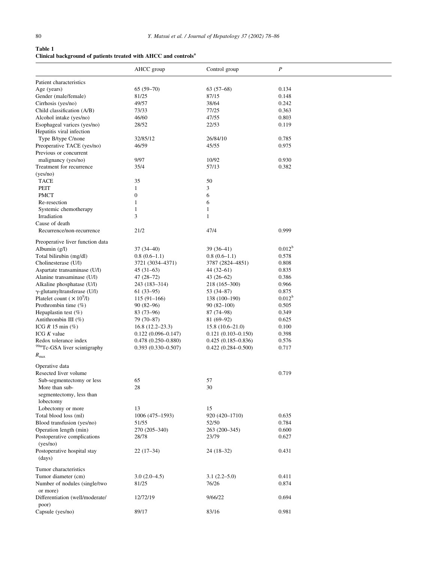# Table 1 Clinical background of patients treated with AHCC and controls<sup>a</sup>

|                                          | AHCC group             | Control group          | $\boldsymbol{P}$   |  |
|------------------------------------------|------------------------|------------------------|--------------------|--|
| Patient characteristics                  |                        |                        |                    |  |
| Age (years)                              | $65(59-70)$            | $63(57-68)$            | 0.134              |  |
| Gender (male/female)                     | 81/25                  | 87/15                  | 0.148              |  |
| Cirrhosis (yes/no)                       | 49/57                  | 38/64                  | 0.242              |  |
| Child classification (A/B)               | 73/33                  | 77/25                  | 0.363              |  |
| Alcohol intake (yes/no)                  | 46/60                  | 47/55                  | 0.803              |  |
| Esophageal varices (yes/no)              | 28/52                  | 22/53                  | 0.119              |  |
| Hepatitis viral infection                |                        |                        |                    |  |
| Type B/type C/none                       | 32/85/12               | 26/84/10               | 0.785              |  |
| Preoperative TACE (yes/no)               | 46/59                  | 45/55                  | 0.975              |  |
| Previous or concurrent                   |                        |                        |                    |  |
| malignancy (yes/no)                      | 9/97                   | 10/92                  | 0.930              |  |
| Treatment for recurrence                 | 35/4                   | 57/13                  | 0.382              |  |
| (yes/no)                                 |                        |                        |                    |  |
| <b>TACE</b>                              | 35                     | 50                     |                    |  |
| <b>PEIT</b>                              | $\mathbf{1}$           | 3                      |                    |  |
| <b>PMCT</b>                              | $\boldsymbol{0}$       | 6                      |                    |  |
| Re-resection                             | 1                      | 6                      |                    |  |
| Systemic chemotherapy                    | 1                      | $\mathbf{1}$           |                    |  |
| Irradiation                              | 3                      | $\mathbf{1}$           |                    |  |
| Cause of death                           |                        |                        |                    |  |
| Recurrence/non-recurrence                | 21/2                   | 47/4                   | 0.999              |  |
| Preoperative liver function data         |                        |                        |                    |  |
| Albumin (g/l)                            | $37(34-40)$            | 39 (36–41)             | $0.012^{b}$        |  |
| Total bilirubin (mg/dl)                  | $0.8(0.6-1.1)$         | $0.8(0.6-1.1)$         | 0.578              |  |
| Cholinesterase (U/l)                     | 3721 (3034-4371)       | 3787 (2824-4851)       | 0.808              |  |
| Aspartate transaminase (U/l)             | $45(31-63)$            | 44 (32–61)             | 0.835              |  |
| Alanine transaminase (U/l)               | 47 (28–72)             | 43 (26–62)             | 0.386              |  |
| Alkaline phosphatase (U/l)               | 243 (183–314)          | 218 (165–300)          | 0.966              |  |
| γ-glutamyltransferase (U/l)              | $61(33-95)$            | 53 (34–87)             | 0.875              |  |
| Platelet count ( $\times 10^9$ /l)       | $115(91-166)$          | 138 (100-190)          | 0.012 <sup>b</sup> |  |
| Prothrombin time (%)                     | $90(82-96)$            | $90(82-100)$           | 0.505              |  |
| Hepaplastin test $(\%)$                  | $83(73-96)$            | 87 (74–98)             | 0.349              |  |
| Antithrombin III (%)                     | 79 (70–87)             | $81(69-92)$            | 0.625              |  |
| ICG $R$ 15 min $(\%)$                    | $16.8(12.2-23.3)$      | $15.8(10.6-21.0)$      | 0.100              |  |
| ICG $K$ value                            | $0.122(0.096 - 0.147)$ | $0.121(0.103 - 0.150)$ | 0.398              |  |
| Redox tolerance index                    | $0.478(0.250 - 0.880)$ | $0.425(0.185-0.836)$   | 0.576              |  |
| <sup>99m</sup> Tc-GSA liver scintigraphy | $0.393(0.330 - 0.507)$ | $0.422(0.284 - 0.500)$ | 0.717              |  |
| $R_{\rm max}$                            |                        |                        |                    |  |
| Operative data<br>Resected liver volume  |                        |                        | 0.719              |  |
| Sub-segmentectomy or less                | 65                     | 57                     |                    |  |
| More than sub-                           | 28                     | 30                     |                    |  |
| segmentectomy, less than                 |                        |                        |                    |  |
| lobectomy                                |                        |                        |                    |  |
| Lobectomy or more                        | 13                     | 15                     |                    |  |
| Total blood loss (ml)                    | $1006(475 - 1593)$     | 920 (420-1710)         | 0.635              |  |
| Blood transfusion (yes/no)               | 51/55                  | 52/50                  | 0.784              |  |
| Operation length (min)                   | 270 (205-340)          | 263 (200-345)          | 0.600              |  |
| Postoperative complications<br>(yes/no)  | 28/78                  | 23/79                  | 0.627              |  |
| Postoperative hospital stay<br>(days)    | $22(17-34)$            | 24 (18–32)             | 0.431              |  |
| Tumor characteristics                    |                        |                        |                    |  |
| Tumor diameter (cm)                      | $3.0(2.0-4.5)$         | $3.1(2.2-5.0)$         | 0.411              |  |
| Number of nodules (single/two            | 81/25                  | 76/26                  | 0.874              |  |
| or more)                                 |                        |                        |                    |  |
| Differentiation (well/moderate/<br>poor) | 12/72/19               | 9/66/22                | 0.694              |  |
| Capsule (yes/no)                         | 89/17                  | 83/16                  | 0.981              |  |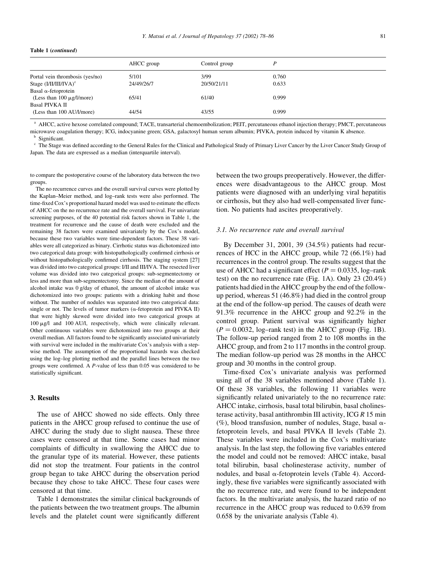#### Table 1 (continued)

|                                 | AHCC group | Control group | D     |
|---------------------------------|------------|---------------|-------|
| Portal vein thrombosis (yes/no) | 5/101      | 3/99          | 0.760 |
| Stage $(I/II/III/IVA)^c$        | 24/49/26/7 | 20/50/21/11   | 0.633 |
| Basal $\alpha$ -fetoprotein     |            |               |       |
| (Less than $100 \mu g/l/m$ ore) | 65/41      | 61/40         | 0.999 |
| <b>Basal PIVKA II</b>           |            |               |       |
| (Less than 100 AU/l/more)       | 44/54      | 43/55         | 0.999 |

<sup>a</sup> AHCC, active hexose correlated compound; TACE, transarterial chemoembolization; PEIT, percutaneous ethanol injection therapy; PMCT, percutaneous microwave coagulation therapy; ICG, indocyanine green; GSA, galactosyl human serum albumin; PIVKA, protein induced by vitamin K absence. Significant.

<sup>c</sup> The Stage was defined according to the General Rules for the Clinical and Pathological Study of Primary Liver Cancer by the Liver Cancer Study Group of Japan. The data are expressed as a median (interquartile interval).

to compare the postoperative course of the laboratory data between the two groups.

The no recurrence curves and the overall survival curves were plotted by the Kaplan–Meier method, and log–rank tests were also performed. The time-fixed Cox's proportional hazard model was used to estimate the effects of AHCC on the no recurrence rate and the overall survival. For univariate screening purposes, of the 40 potential risk factors shown in Table 1, the treatment for recurrence and the cause of death were excluded and the remaining 38 factors were examined univariately by the Cox's model, because these two variables were time-dependent factors. These 38 variables were all categorized as binary. Cirrhotic status was dichotomized into two categorical data group: with histopathologically confirmed cirrhosis or without histopathologically confirmed cirrhosis. The staging system [27] was divided into two categorical groups: I/II and III/IVA. The resected liver volume was divided into two categorical groups: sub-segmentectomy or less and more than sub-segmentectomy. Since the median of the amount of alcohol intake was 0 g/day of ethanol, the amount of alcohol intake was dichotomized into two groups: patients with a drinking habit and those without. The number of nodules was separated into two categorical data: single or not. The levels of tumor markers ( $\alpha$ -fetoprotein and PIVKA II) that were highly skewed were divided into two categorical groups at 100 mg/l and 100 AU/l, respectively, which were clinically relevant. Other continuous variables were dichotomized into two groups at their overall median. All factors found to be significantly associated univariately with survival were included in the multivariate Cox's analysis with a stepwise method. The assumption of the proportional hazards was checked using the log–log plotting method and the parallel lines between the two groups were confirmed. A P-value of less than 0.05 was considered to be statistically significant.

# 3. Results

The use of AHCC showed no side effects. Only three patients in the AHCC group refused to continue the use of AHCC during the study due to slight nausea. These three cases were censored at that time. Some cases had minor complaints of difficulty in swallowing the AHCC due to the granular type of its material. However, these patients did not stop the treatment. Four patients in the control group began to take AHCC during the observation period because they chose to take AHCC. These four cases were censored at that time.

Table 1 demonstrates the similar clinical backgrounds of the patients between the two treatment groups. The albumin levels and the platelet count were significantly different

between the two groups preoperatively. However, the differences were disadvantageous to the AHCC group. Most patients were diagnosed with an underlying viral hepatitis or cirrhosis, but they also had well-compensated liver function. No patients had ascites preoperatively.

#### 3.1. No recurrence rate and overall survival

By December 31, 2001, 39 (34.5%) patients had recurrences of HCC in the AHCC group, while 72 (66.1%) had recurrences in the control group. The results suggest that the use of AHCC had a significant effect ( $P = 0.0335$ , log–rank test) on the no recurrence rate (Fig. 1A). Only 23 (20.4%) patients had died in the AHCC group by the end of the followup period, whereas 51 (46.8%) had died in the control group at the end of the follow-up period. The causes of death were 91.3% recurrence in the AHCC group and 92.2% in the control group. Patient survival was significantly higher  $(P = 0.0032, \text{log-rank test})$  in the AHCC group (Fig. 1B). The follow-up period ranged from 2 to 108 months in the AHCC group, and from 2 to 117 months in the control group. The median follow-up period was 28 months in the AHCC group and 30 months in the control group.

Time-fixed Cox's univariate analysis was performed using all of the 38 variables mentioned above (Table 1). Of these 38 variables, the following 11 variables were significantly related univariately to the no recurrence rate: AHCC intake, cirrhosis, basal total bilirubin, basal cholinesterase activity, basal antithrombin III activity, ICG  $R$  15 min (%), blood transfusion, number of nodules, Stage, basal  $\alpha$ fetoprotein levels, and basal PIVKA II levels (Table 2). These variables were included in the Cox's multivariate analysis. In the last step, the following five variables entered the model and could not be removed: AHCC intake, basal total bilirubin, basal cholinesterase activity, number of nodules, and basal  $\alpha$ -fetoprotein levels (Table 4). Accordingly, these five variables were significantly associated with the no recurrence rate, and were found to be independent factors. In the multivariate analysis, the hazard ratio of no recurrence in the AHCC group was reduced to 0.639 from 0.658 by the univariate analysis (Table 4).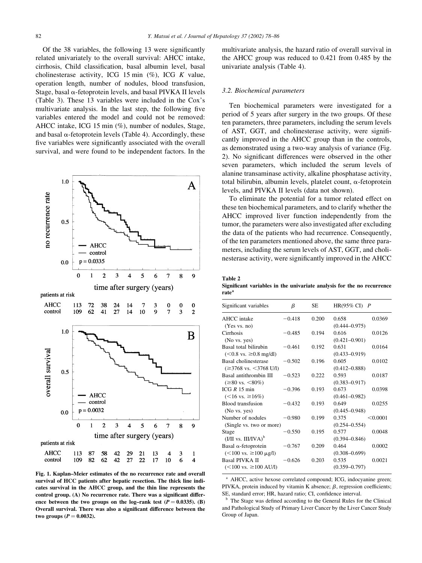Of the 38 variables, the following 13 were significantly related univariately to the overall survival: AHCC intake, cirrhosis, Child classification, basal albumin level, basal cholinesterase activity, ICG 15 min  $(\%)$ , ICG K value, operation length, number of nodules, blood transfusion, Stage, basal  $\alpha$ -fetoprotein levels, and basal PIVKA II levels (Table 3). These 13 variables were included in the Cox's multivariate analysis. In the last step, the following five variables entered the model and could not be removed: AHCC intake, ICG 15 min (%), number of nodules, Stage, and basal  $\alpha$ -fetoprotein levels (Table 4). Accordingly, these five variables were significantly associated with the overall survival, and were found to be independent factors. In the



Fig. 1. Kaplan–Meier estimates of the no recurrence rate and overall survival of HCC patients after hepatic resection. The thick line indicates survival in the AHCC group, and the thin line represents the control group. (A) No recurrence rate. There was a significant difference between the two groups on the log-rank test  $(P = 0.0335)$ . (B) Overall survival. There was also a significant difference between the two groups  $(P = 0.0032)$ .

multivariate analysis, the hazard ratio of overall survival in the AHCC group was reduced to 0.421 from 0.485 by the univariate analysis (Table 4).

#### 3.2. Biochemical parameters

Ten biochemical parameters were investigated for a period of 5 years after surgery in the two groups. Of these ten parameters, three parameters, including the serum levels of AST, GGT, and cholinesterase activity, were significantly improved in the AHCC group than in the controls, as demonstrated using a two-way analysis of variance (Fig. 2). No significant differences were observed in the other seven parameters, which included the serum levels of alanine transaminase activity, alkaline phosphatase activity, total bilirubin, albumin levels, platelet count,  $\alpha$ -fetoprotein levels, and PIVKA II levels (data not shown).

To eliminate the potential for a tumor related effect on these ten biochemical parameters, and to clarify whether the AHCC improved liver function independently from the tumor, the parameters were also investigated after excluding the data of the patients who had recurrence. Consequently, of the ten parameters mentioned above, the same three parameters, including the serum levels of AST, GGT, and cholinesterase activity, were significantly improved in the AHCC

Table 2 Significant variables in the univariate analysis for the no recurrence rate<sup>a</sup>

| Significant variables                                                      | β        | SЕ    | HR(95% CI) $P$                         |  |
|----------------------------------------------------------------------------|----------|-------|----------------------------------------|--|
| AHCC intake<br>(Yes vs. no)                                                | $-0.418$ | 0.200 | 0.658<br>0.0369<br>$(0.444 - 0.975)$   |  |
| Cirrhosis<br>(No vs. yes)                                                  | $-0.485$ | 0.194 | 0.616<br>0.0126<br>$(0.421 - 0.901)$   |  |
| Basal total bilirubin<br>$(< 0.8$ vs. ≥0.8 mg/dl)                          | $-0.461$ | 0.192 | 0.631<br>0.0164<br>$(0.433 - 0.919)$   |  |
| Basal cholinesterase<br>$(\geq 3768 \text{ vs. } \leq 3768 \text{ U/l})$   | $-0.502$ | 0.196 | 0.605<br>0.0102<br>$(0.412 - 0.888)$   |  |
| Basal antithrombin III<br>$(\geq 80 \text{ vs. } \leq 80\%)$               | $-0.523$ | 0.222 | 0.593<br>0.0187<br>$(0.383 - 0.917)$   |  |
| ICG R 15 min<br>$(<16$ vs. ≥16%)                                           | $-0.396$ | 0.193 | 0.673<br>0.0398<br>$(0.461 - 0.982)$   |  |
| Blood transfusion<br>(No vs. yes)                                          | $-0.432$ | 0.193 | 0.649<br>0.0255<br>$(0.445 - 0.948)$   |  |
| Number of nodules<br>(Single vs. two or more)                              | $-0.980$ | 0.199 | 0.375<br>< 0.0001<br>$(0.254 - 0.554)$ |  |
| Stage<br>$(I/II \text{ vs. III/IVA})^b$                                    | $-0.550$ | 0.195 | 0.577<br>0.0048<br>$(0.394 - 0.846)$   |  |
| Basal $\alpha$ -fetoprotein<br>$(<100 \text{ vs. } \geq 100 \text{ µg/l})$ | $-0.767$ | 0.209 | 0.464<br>0.0002<br>$(0.308 - 0.699)$   |  |
| <b>Basal PIVKA II</b><br>$(<100 \text{ vs. } \geq 100 \text{ AU/l})$       | $-0.626$ | 0.203 | 0.535<br>0.0021<br>$(0.359 - 0.797)$   |  |
|                                                                            |          |       |                                        |  |

<sup>a</sup> AHCC, active hexose correlated compound; ICG, indocyanine green; PIVKA, protein induced by vitamin K absence;  $\beta$ , regression coefficients; SE, standard error; HR, hazard ratio; CI, confidence interval.

The Stage was defined according to the General Rules for the Clinical and Pathological Study of Primary Liver Cancer by the Liver Cancer Study Group of Japan.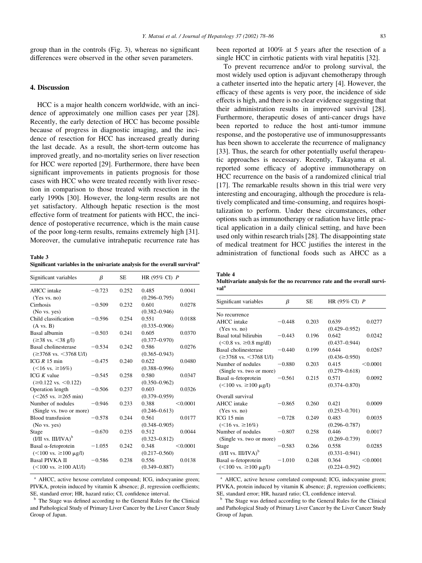group than in the controls (Fig. 3), whereas no significant differences were observed in the other seven parameters.

# 4. Discussion

HCC is a major health concern worldwide, with an incidence of approximately one million cases per year [28]. Recently, the early detection of HCC has become possible because of progress in diagnostic imaging, and the incidence of resection for HCC has increased greatly during the last decade. As a result, the short-term outcome has improved greatly, and no-mortality series on liver resection for HCC were reported [29]. Furthermore, there have been significant improvements in patients prognosis for those cases with HCC who were treated recently with liver resection in comparison to those treated with resection in the early 1990s [30]. However, the long-term results are not yet satisfactory. Although hepatic resection is the most effective form of treatment for patients with HCC, the incidence of postoperative recurrence, which is the main cause of the poor long-term results, remains extremely high [31]. Moreover, the cumulative intrahepatic recurrence rate has

Table 3 Significant variables in the univariate analysis for the overall survival<sup>a</sup>

| Significant variables                                                    | β        | <b>SE</b> | HR $(95\%$ CI) $P$                     |  |
|--------------------------------------------------------------------------|----------|-----------|----------------------------------------|--|
| AHCC intake<br>(Yes vs. no)                                              | $-0.723$ | 0.252     | 0.0041<br>0.485<br>$(0.296 - 0.795)$   |  |
| Cirrhosis<br>(No vs. yes)                                                | $-0.509$ | 0.232     | 0.601<br>0.0278<br>$(0.382 - 0.946)$   |  |
| Child classification<br>$(A \text{ vs. } B)$                             | $-0.596$ | 0.254     | 0.551<br>0.0188<br>$(0.335 - 0.906)$   |  |
| Basal albumin<br>$(≥38$ vs. $≤38$ g/l)                                   | $-0.503$ | 0.241     | 0.605<br>0.0370<br>$(0.377 - 0.970)$   |  |
| Basal cholinesterase<br>$(\geq 3768 \text{ vs. } \leq 3768 \text{ U/l})$ | $-0.534$ | 0.242     | 0.586<br>0.0276<br>$(0.365 - 0.943)$   |  |
| ICG $R$ 15 min<br>$(<16$ vs. $\geq 16\%)$                                | $-0.475$ | 0.240     | 0.622<br>0.0480<br>$(0.388 - 0.996)$   |  |
| ICG $K$ value<br>$(\geq 0.122 \text{ vs. } < 0.122)$                     | $-0.545$ | 0.258     | 0.580<br>0.0347<br>$(0.350 - 0.962)$   |  |
| Operation length<br>$(<265$ vs. $\geq 265$ min)                          | $-0.506$ | 0.237     | 0.603<br>0.0326<br>$(0.379 - 0.959)$   |  |
| Number of nodules<br>(Single vs. two or more)                            | $-0.946$ | 0.233     | 0.388<br>< 0.0001<br>$(0.246 - 0.613)$ |  |
| Blood transfusion<br>(No vs. yes)                                        | $-0.578$ | 0.244     | 0.561<br>0.0177<br>$(0.348 - 0.905)$   |  |
| Stage<br>$(I/II vs. III/IVA)^b$                                          | $-0.670$ | 0.235     | 0.512<br>0.0044<br>$(0.323 - 0.812)$   |  |
| Basal $\alpha$ -fetoprotein<br>$(<100$ vs. ≥100 µg/l)                    | $-1.055$ | 0.242     | 0.348<br>< 0.0001<br>$(0.217 - 0.560)$ |  |
| <b>Basal PIVKA II</b><br>$(<100 \text{ vs. } \geq 100 \text{ AU/l})$     | $-0.586$ | 0.238     | 0.556<br>0.0138<br>$(0.349 - 0.887)$   |  |

<sup>a</sup> AHCC, active hexose correlated compound; ICG, indocyanine green; PIVKA, protein induced by vitamin K absence;  $\beta$ , regression coefficients; SE, standard error; HR, hazard ratio; CI, confidence interval.

The Stage was defined according to the General Rules for the Clinical and Pathological Study of Primary Liver Cancer by the Liver Cancer Study Group of Japan.

been reported at 100% at 5 years after the resection of a single HCC in cirrhotic patients with viral hepatitis [32].

To prevent recurrence and/or to prolong survival, the most widely used option is adjuvant chemotherapy through a catheter inserted into the hepatic artery [4]. However, the efficacy of these agents is very poor, the incidence of side effects is high, and there is no clear evidence suggesting that their administration results in improved survival [28]. Furthermore, therapeutic doses of anti-cancer drugs have been reported to reduce the host anti-tumor immune response, and the postoperative use of immunosuppressants has been shown to accelerate the recurrence of malignancy [33]. Thus, the search for other potentially useful therapeutic approaches is necessary. Recently, Takayama et al. reported some efficacy of adoptive immunotherapy on HCC recurrence on the basis of a randomized clinical trial [17]. The remarkable results shown in this trial were very interesting and encouraging, although the procedure is relatively complicated and time-consuming, and requires hospitalization to perform. Under these circumstances, other options such as immunotherapy or radiation have little practical application in a daily clinical setting, and have been used only within research trials [28]. The disappointing state of medical treatment for HCC justifies the interest in the administration of functional foods such as AHCC as a

Table 4 Multivariate analysis for the no recurrence rate and the overall survival<sup>a</sup>

| Significant variables                            | β        | SE    | HR (95% CI) $P$   |          |
|--------------------------------------------------|----------|-------|-------------------|----------|
| No recurrence                                    |          |       |                   |          |
| <b>AHCC</b> intake                               | $-0.448$ | 0.203 | 0.639             | 0.0277   |
| (Yes vs. no)                                     |          |       | $(0.429 - 0.952)$ |          |
| Basal total bilirubin                            | $-0.443$ | 0.196 | 0.642             | 0.0242   |
| $(< 0.8$ vs. ≥0.8 mg/dl)                         |          |       | $(0.437 - 0.944)$ |          |
| <b>Basal cholinesterase</b>                      | $-0.440$ | 0.199 | 0.644             | 0.0267   |
| $(\geq 3768 \text{ vs. } \leq 3768 \text{ U/l})$ |          |       | $(0.436 - 0.950)$ |          |
| Number of nodules                                | $-0.880$ | 0.203 | 0.415             | < 0.0001 |
| (Single vs. two or more)                         |          |       | $(0.279 - 0.618)$ |          |
| Basal $\alpha$ -fetoprotein                      | $-0.561$ | 0.215 | 0.571             | 0.0092   |
| $(<100$ vs. ≥100 µg/l)                           |          |       | $(0.374 - 0.870)$ |          |
| Overall survival                                 |          |       |                   |          |
| AHCC intake                                      | $-0.865$ | 0.260 | 0.421             | 0.0009   |
| (Yes vs. no)                                     |          |       | $(0.253 - 0.701)$ |          |
| ICG 15 min                                       | $-0.728$ | 0.249 | 0.483             | 0.0035   |
| $(<16$ vs. ≥16%)                                 |          |       | $(0.296 - 0.787)$ |          |
| Number of nodules                                | $-0.807$ | 0.258 | 0.446             | 0.0017   |
| (Single vs. two or more)                         |          |       | $(0.269 - 0.739)$ |          |
| Stage                                            | $-0.583$ | 0.266 | 0.558             | 0.0285   |
| $(I/II \text{ vs. III/IVA})^b$                   |          |       | $(0.331 - 0.941)$ |          |
| Basal $\alpha$ -fetoprotein                      | $-1.010$ | 0.248 | 0.364             | < 0.0001 |
| $(<100$ vs. ≥100 µg/l)                           |          |       | $(0.224 - 0.592)$ |          |

<sup>a</sup> AHCC, active hexose correlated compound; ICG, indocyanine green; PIVKA, protein induced by vitamin K absence;  $\beta$ , regression coefficients; SE, standard error; HR, hazard ratio; CI, confidence interval.

The Stage was defined according to the General Rules for the Clinical and Pathological Study of Primary Liver Cancer by the Liver Cancer Study Group of Japan.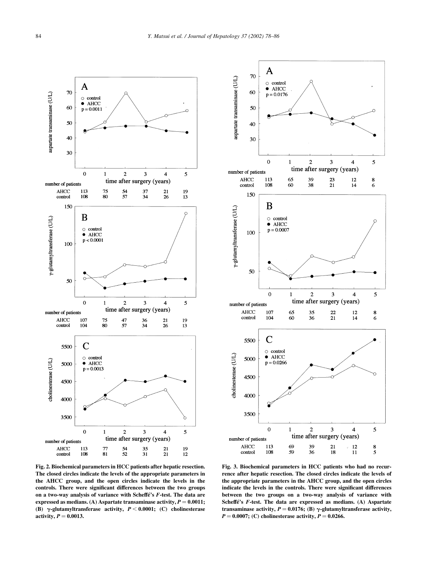



Fig. 2. Biochemical parameters in HCC patients after hepatic resection. The closed circles indicate the levels of the appropriate parameters in the AHCC group, and the open circles indicate the levels in the controls. There were significant differences between the two groups on a two-way analysis of variance with Scheffe's  $F$ -test. The data are expressed as medians. (A) Aspartate transaminase activity,  $P = 0.0011$ ; (B)  $\gamma$ -glutamyltransferase activity,  $P < 0.0001$ ; (C) cholinesterase activity,  $P = 0.0013$ .

Fig. 3. Biochemical parameters in HCC patients who had no recurrence after hepatic resection. The closed circles indicate the levels of the appropriate parameters in the AHCC group, and the open circles indicate the levels in the controls. There were significant differences between the two groups on a two-way analysis of variance with Scheffé's F-test. The data are expressed as medians. (A) Aspartate transaminase activity,  $P = 0.0176$ ; (B)  $\gamma$ -glutamyltransferase activity,  $P = 0.0007$ ; (C) cholinesterase activity,  $P = 0.0266$ .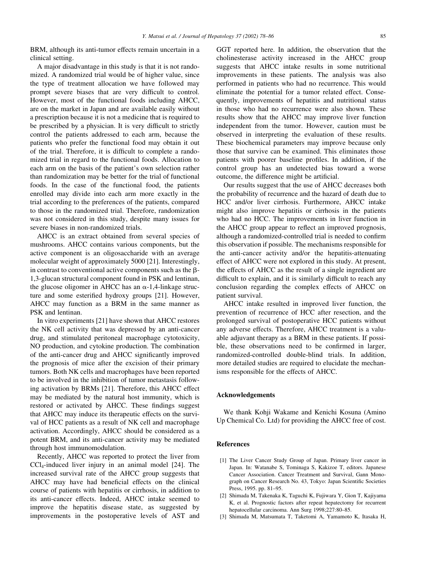BRM, although its anti-tumor effects remain uncertain in a clinical setting.

A major disadvantage in this study is that it is not randomized. A randomized trial would be of higher value, since the type of treatment allocation we have followed may prompt severe biases that are very difficult to control. However, most of the functional foods including AHCC, are on the market in Japan and are available easily without a prescription because it is not a medicine that is required to be prescribed by a physician. It is very difficult to strictly control the patients addressed to each arm, because the patients who prefer the functional food may obtain it out of the trial. Therefore, it is difficult to complete a randomized trial in regard to the functional foods. Allocation to each arm on the basis of the patient's own selection rather than randomization may be better for the trial of functional foods. In the case of the functional food, the patients enrolled may divide into each arm more exactly in the trial according to the preferences of the patients, compared to those in the randomized trial. Therefore, randomization was not considered in this study, despite many issues for severe biases in non-randomized trials.

AHCC is an extract obtained from several species of mushrooms. AHCC contains various components, but the active component is an oligosaccharide with an average molecular weight of approximately 5000 [21]. Interestingly, in contrast to conventional active components such as the  $\beta$ -1,3-glucan structural component found in PSK and lentinan, the glucose oligomer in AHCC has an  $\alpha$ -1,4-linkage structure and some esterified hydroxy groups [21]. However, AHCC may function as a BRM in the same manner as PSK and lentinan.

In vitro experiments [21] have shown that AHCC restores the NK cell activity that was depressed by an anti-cancer drug, and stimulated peritoneal macrophage cytotoxicity, NO production, and cytokine production. The combination of the anti-cancer drug and AHCC significantly improved the prognosis of mice after the excision of their primary tumors. Both NK cells and macrophages have been reported to be involved in the inhibition of tumor metastasis following activation by BRMs [21]. Therefore, this AHCC effect may be mediated by the natural host immunity, which is restored or activated by AHCC. These findings suggest that AHCC may induce its therapeutic effects on the survival of HCC patients as a result of NK cell and macrophage activation. Accordingly, AHCC should be considered as a potent BRM, and its anti-cancer activity may be mediated through host immunomodulation.

Recently, AHCC was reported to protect the liver from  $CCl<sub>4</sub>$ -induced liver injury in an animal model [24]. The increased survival rate of the AHCC group suggests that AHCC may have had beneficial effects on the clinical course of patients with hepatitis or cirrhosis, in addition to its anti-cancer effects. Indeed, AHCC intake seemed to improve the hepatitis disease state, as suggested by improvements in the postoperative levels of AST and GGT reported here. In addition, the observation that the cholinesterase activity increased in the AHCC group suggests that AHCC intake results in some nutritional improvements in these patients. The analysis was also performed in patients who had no recurrence. This would eliminate the potential for a tumor related effect. Consequently, improvements of hepatitis and nutritional status in those who had no recurrence were also shown. These results show that the AHCC may improve liver function independent from the tumor. However, caution must be observed in interpreting the evaluation of these results. These biochemical parameters may improve because only those that survive can be examined. This eliminates those patients with poorer baseline profiles. In addition, if the control group has an undetected bias toward a worse outcome, the difference might be artificial.

Our results suggest that the use of AHCC decreases both the probability of recurrence and the hazard of death due to HCC and/or liver cirrhosis. Furthermore, AHCC intake might also improve hepatitis or cirrhosis in the patients who had no HCC. The improvements in liver function in the AHCC group appear to reflect an improved prognosis, although a randomized-controlled trial is needed to confirm this observation if possible. The mechanisms responsible for the anti-cancer activity and/or the hepatitis-attenuating effect of AHCC were not explored in this study. At present, the effects of AHCC as the result of a single ingredient are difficult to explain, and it is similarly difficult to reach any conclusion regarding the complex effects of AHCC on patient survival.

AHCC intake resulted in improved liver function, the prevention of recurrence of HCC after resection, and the prolonged survival of postoperative HCC patients without any adverse effects. Therefore, AHCC treatment is a valuable adjuvant therapy as a BRM in these patients. If possible, these observations need to be confirmed in larger, randomized-controlled double-blind trials. In addition, more detailed studies are required to elucidate the mechanisms responsible for the effects of AHCC.

## Acknowledgements

We thank Kohji Wakame and Kenichi Kosuna (Amino Up Chemical Co. Ltd) for providing the AHCC free of cost.

## References

- [1] The Liver Cancer Study Group of Japan. Primary liver cancer in Japan. In: Watanabe S, Tominaga S, Kakizoe T, editors. Japanese Cancer Association. Cancer Treatment and Survival, Gann Monograph on Cancer Research No. 43, Tokyo: Japan Scientific Societies Press, 1995. pp. 81–95.
- [2] Shimada M, Takenaka K, Taguchi K, Fujiwara Y, Gion T, Kajiyama K, et al. Prognostic factors after repeat hepatectomy for recurrent hepatocellular carcinoma. Ann Surg 1998;227:80–85.
- [3] Shimada M, Matsumata T, Taketomi A, Yamamoto K, Itasaka H,